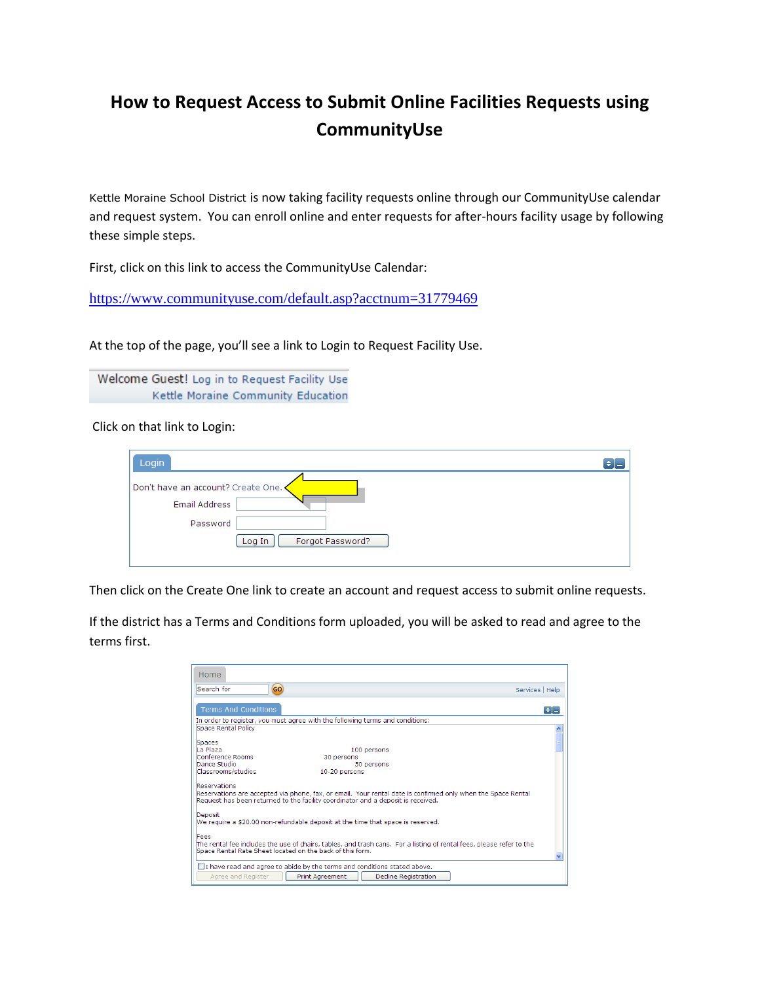## **How to Request Access to Submit Online Facilities Requests using CommunityUse**

Kettle Moraine School District is now taking facility requests online through our CommunityUse calendar and request system. You can enroll online and enter requests for after-hours facility usage by following these simple steps.

First, click on this link to access the CommunityUse Calendar:

<https://www.communityuse.com/default.asp?acctnum=31779469>

At the top of the page, you'll see a link to Login to Request Facility Use.

Welcome Guest! Log in to Request Facility Use Kettle Moraine Community Education

Click on that link to Login:

| Login                              |  |
|------------------------------------|--|
| Don't have an account? Create One. |  |
| Email Address                      |  |
| Password                           |  |
| Forgot Password?<br>Log In         |  |
|                                    |  |

Then click on the Create One link to create an account and request access to submit online requests.

If the district has a Terms and Conditions form uploaded, you will be asked to read and agree to the terms first.

| Home                                                      |                                                                                                                                                                                                  |                            |
|-----------------------------------------------------------|--------------------------------------------------------------------------------------------------------------------------------------------------------------------------------------------------|----------------------------|
| GO)<br>Search for                                         | Services   Help                                                                                                                                                                                  |                            |
| <b>Terms And Conditions</b>                               |                                                                                                                                                                                                  | $\left  \bullet \right  =$ |
|                                                           | In order to register, you must agree with the following terms and conditions:                                                                                                                    |                            |
| Space Rental Policy                                       |                                                                                                                                                                                                  |                            |
|                                                           |                                                                                                                                                                                                  |                            |
| Spaces<br>La Plaza                                        |                                                                                                                                                                                                  |                            |
| Conference Rooms                                          | 100 persons<br>30 persons                                                                                                                                                                        |                            |
| Dance Studio                                              | 50 persons                                                                                                                                                                                       |                            |
| Classrooms/studios                                        | 10-20 persons                                                                                                                                                                                    |                            |
| <b>Reservations</b>                                       | Reservations are accepted via phone, fax, or email. Your rental date is confirmed only when the Space Rental<br>Request has been returned to the facility coordinator and a deposit is received. |                            |
| Deposit                                                   | We require a \$20.00 non-refundable deposit at the time that space is reserved.                                                                                                                  |                            |
| Fees                                                      |                                                                                                                                                                                                  |                            |
| Space Rental Rate Sheet located on the back of this form. | The rental fee includes the use of chairs, tables, and trash cans. For a listing of rental fees, please refer to the                                                                             |                            |
| Agree and Register                                        | I have read and agree to abide by the terms and conditions stated above.<br><b>Print Agreement</b><br><b>Decline Registration</b>                                                                |                            |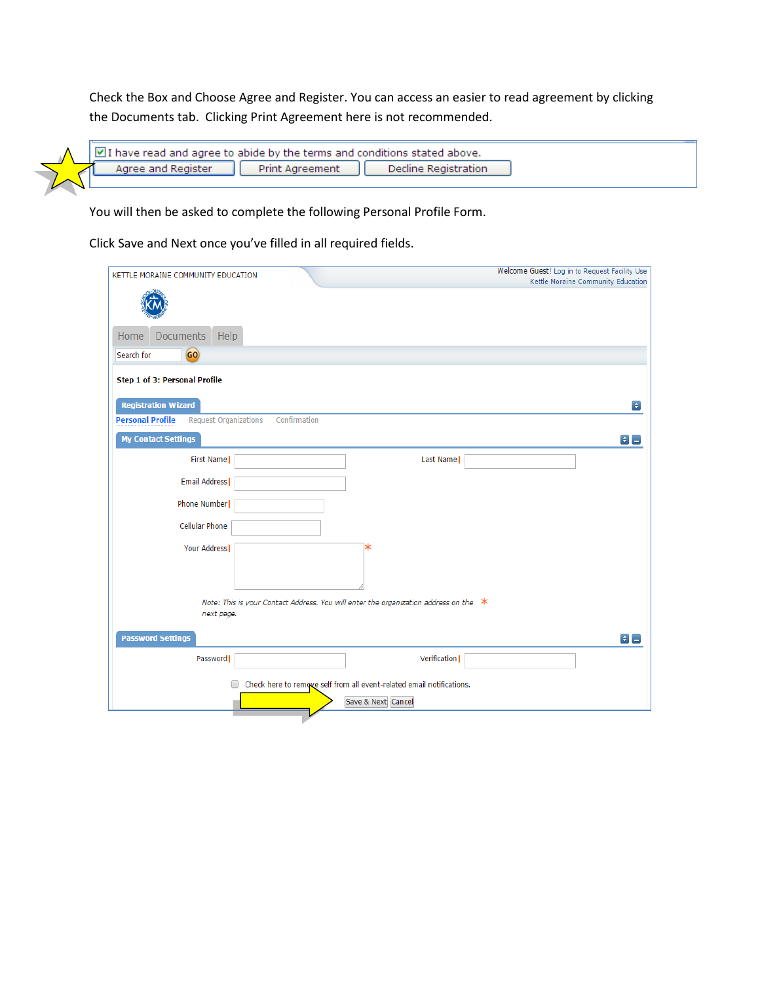Check the Box and Choose Agree and Register. You can access an easier to read agreement by clicking the Documents tab. Clicking Print Agreement here is not recommended.

| $\sqrt{2}$ I have read and agree to abide by the terms and conditions stated above. |                    |           |                      |  |
|-------------------------------------------------------------------------------------|--------------------|-----------|----------------------|--|
|                                                                                     | Agree and Register | Agreement | Decline Registration |  |

You will then be asked to complete the following Personal Profile Form.

Click Save and Next once you've filled in all required fields.

| KETTLE MORAINE COMMUNITY EDUCATION                                      | Welcome Guest! Log in to Request Facility Use                                          |
|-------------------------------------------------------------------------|----------------------------------------------------------------------------------------|
|                                                                         | Kettle Moraine Community Education                                                     |
|                                                                         |                                                                                        |
|                                                                         |                                                                                        |
| Documents<br>Help<br>Home                                               |                                                                                        |
| GO)<br>Search for                                                       |                                                                                        |
|                                                                         |                                                                                        |
| Step 1 of 3: Personal Profile                                           |                                                                                        |
| <b>Registration Wizard</b>                                              | $\bullet$                                                                              |
| Confirmation<br><b>Personal Profile</b><br><b>Request Organizations</b> |                                                                                        |
| <b>My Contact Settings</b>                                              | $\div$                                                                                 |
| First Name                                                              | Last Name                                                                              |
| Email Address                                                           |                                                                                        |
|                                                                         |                                                                                        |
| Phone Number                                                            |                                                                                        |
| Cellular Phone                                                          |                                                                                        |
| Your Address                                                            | ∗                                                                                      |
|                                                                         |                                                                                        |
|                                                                         |                                                                                        |
|                                                                         | Note: This is your Contact Address. You will enter the organization address on the $*$ |
| next page.                                                              |                                                                                        |
|                                                                         |                                                                                        |
| <b>Password Settings</b>                                                | $\blacksquare$                                                                         |
| Password                                                                | Verification                                                                           |
| □                                                                       | Check here to remove self from all event-related email notifications.                  |
|                                                                         | Save & Next Cancel                                                                     |
|                                                                         |                                                                                        |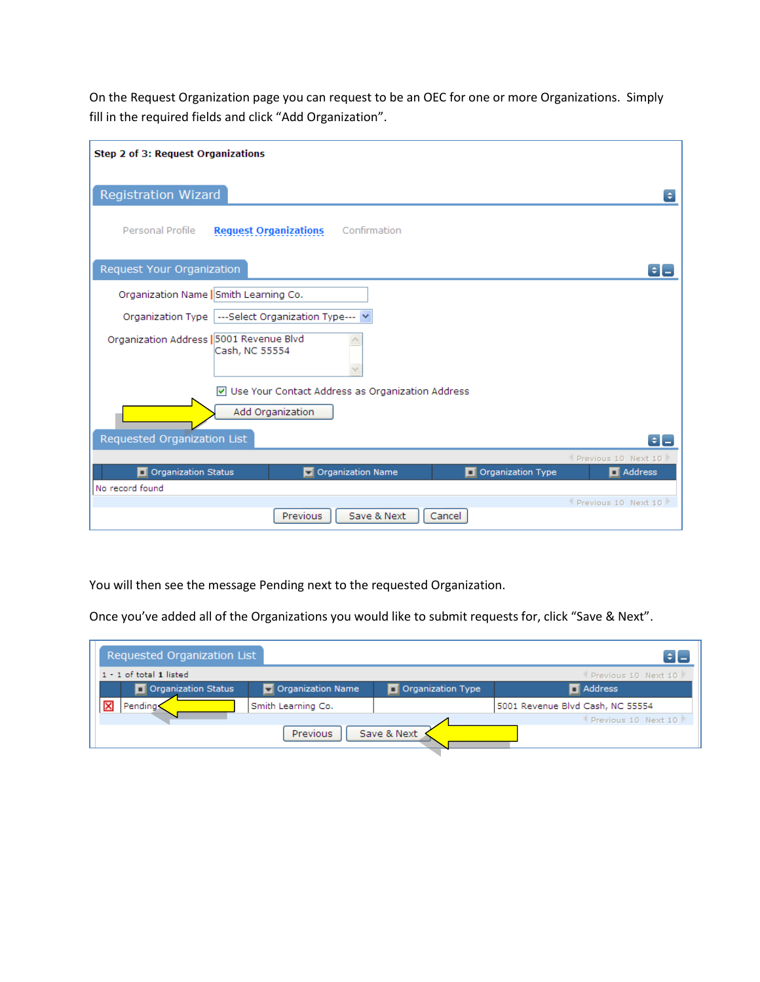On the Request Organization page you can request to be an OEC for one or more Organizations. Simply fill in the required fields and click "Add Organization".

| Step 2 of 3: Request Organizations                                       |                     |
|--------------------------------------------------------------------------|---------------------|
| <b>Registration Wizard</b>                                               | $\bullet$           |
| Personal Profile<br>Confirmation<br><b>Request Organizations</b>         |                     |
| <b>Request Your Organization</b>                                         | $ \bullet  =$       |
| Organization Name   Smith Learning Co.                                   |                     |
| Organization Type  ---Select Organization Type---                        |                     |
| Organization Address   5001 Revenue Blvd<br>Cash, NC 55554               |                     |
| Use Your Contact Address as Organization Address<br>$\blacktriangledown$ |                     |
| Add Organization                                                         |                     |
| Requested Organization List                                              | $\div \Box$         |
|                                                                          | Previous 10 Next 10 |
| Organization Status<br>Organization Name<br>Organization Type            | Address             |
| No record found                                                          |                     |
| Save & Next<br>Previous<br>Cancel                                        | Previous 10 Next 10 |

You will then see the message Pending next to the requested Organization.

Once you've added all of the Organizations you would like to submit requests for, click "Save & Next".

|   | Requested Organization List                        |                    |                   |                                  |
|---|----------------------------------------------------|--------------------|-------------------|----------------------------------|
|   | $1 - 1$ of total $1$ listed<br>Previous 10 Next 10 |                    |                   |                                  |
|   | Organization Status                                | Organization Name  | Organization Type | <b>N</b> Address                 |
| × | Pending:                                           | Smith Learning Co. |                   | 5001 Revenue Blvd Cash, NC 55554 |
|   |                                                    |                    |                   | Previous 10 Next 10              |
|   | Save & Next<br><b>Previous</b>                     |                    |                   |                                  |